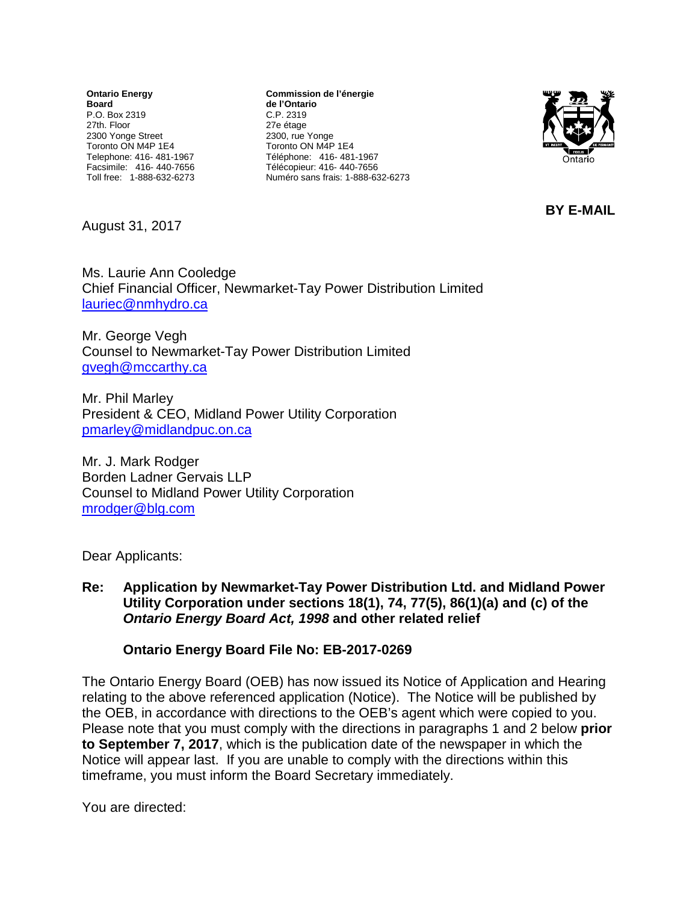**Ontario Energy Board** P.O. Box 2319 27th. Floor 2300 Yonge Street Toronto ON M4P 1E4 Telephone: 416- 481-1967 Facsimile: 416- 440-7656 Toll free: 1-888-632-6273

**Commission de l'énergie de l'Ontario** C.P. 2319 27e étage 2300, rue Yonge Toronto ON M4P 1E4 Téléphone: 416- 481-1967 Télécopieur: 416- 440-7656 Numéro sans frais: 1-888-632-6273



**BY E-MAIL**

August 31, 2017

Ms. Laurie Ann Cooledge Chief Financial Officer, Newmarket-Tay Power Distribution Limited [lauriec@nmhydro.ca](mailto:lauriec@nmhydro.ca)

Mr. George Vegh Counsel to Newmarket-Tay Power Distribution Limited [gvegh@mccarthy.ca](mailto:gvegh@mccarthy.ca)

Mr. Phil Marley President & CEO, Midland Power Utility Corporation [pmarley@midlandpuc.on.ca](mailto:pmarley@midlandpuc.on.ca)

Mr. J. Mark Rodger Borden Ladner Gervais LLP Counsel to Midland Power Utility Corporation [mrodger@blg.com](mailto:mrodger@blg.com)

Dear Applicants:

**Re: Application by Newmarket-Tay Power Distribution Ltd. and Midland Power Utility Corporation under sections 18(1), 74, 77(5), 86(1)(a) and (c) of the**  *Ontario Energy Board Act, 1998* **and other related relief**

## **Ontario Energy Board File No: EB-2017-0269**

The Ontario Energy Board (OEB) has now issued its Notice of Application and Hearing relating to the above referenced application (Notice). The Notice will be published by the OEB, in accordance with directions to the OEB's agent which were copied to you. Please note that you must comply with the directions in paragraphs 1 and 2 below **prior to September 7, 2017**, which is the publication date of the newspaper in which the Notice will appear last. If you are unable to comply with the directions within this timeframe, you must inform the Board Secretary immediately.

You are directed: